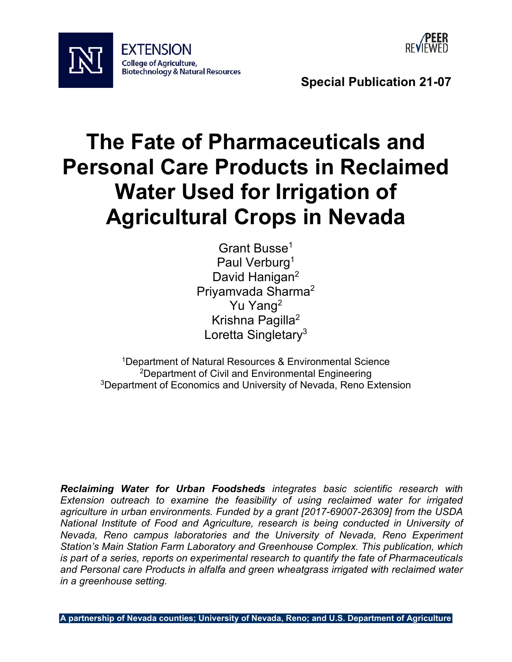



**Special Publication 21-07** 

# **The Fate of Pharmaceuticals and Personal Care Products in Reclaimed Water Used for Irrigation of Agricultural Crops in Nevada**

Grant Busse<sup>1</sup> Paul Verburg<sup>1</sup> David Hanigan<sup>2</sup> Priyamvada Sharma2 Yu Yang2 Krishna Pagilla2 Loretta Singletary<sup>3</sup>

 3Department of Economics and University of Nevada, Reno Extension 1Department of Natural Resources & Environmental Science 2Department of Civil and Environmental Engineering

 *is part of a series, reports on experimental research to quantify the fate of Pharmaceuticals in a greenhouse setting. Reclaiming Water for Urban Foodsheds integrates basic scientific research with Extension outreach to examine the feasibility of using reclaimed water for irrigated agriculture in urban environments. Funded by a grant [2017-69007-26309] from the USDA National Institute of Food and Agriculture, research is being conducted in University of Nevada, Reno campus laboratories and the University of Nevada, Reno Experiment Station's Main Station Farm Laboratory and Greenhouse Complex. This publication, which and Personal care Products in alfalfa and green wheatgrass irrigated with reclaimed water*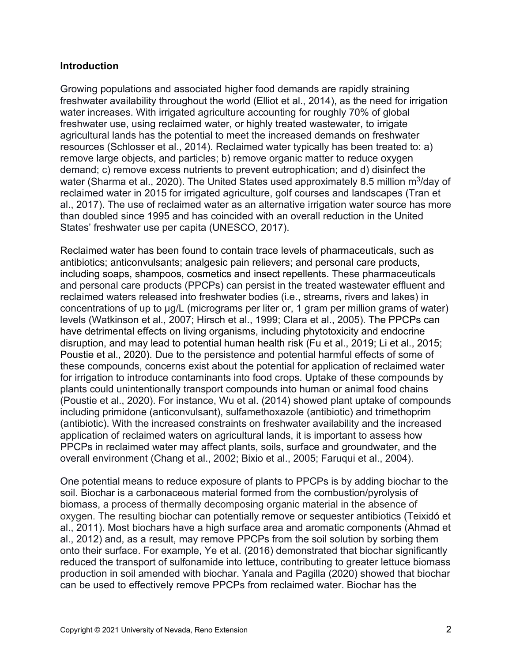#### **Introduction**

 freshwater use, using reclaimed water, or highly treated wastewater, to irrigate demand; c) remove excess nutrients to prevent eutrophication; and d) disinfect the water (Sharma et al., 2020). The United States used approximately 8.5 million m<sup>3</sup>/day of Growing populations and associated higher food demands are rapidly straining freshwater availability throughout the world (Elliot et al., 2014), as the need for irrigation water increases. With irrigated agriculture accounting for roughly 70% of global agricultural lands has the potential to meet the increased demands on freshwater resources (Schlosser et al., 2014). Reclaimed water typically has been treated to: a) remove large objects, and particles; b) remove organic matter to reduce oxygen reclaimed water in 2015 for irrigated agriculture, golf courses and landscapes (Tran et al., 2017). The use of reclaimed water as an alternative irrigation water source has more than doubled since 1995 and has coincided with an overall reduction in the United States' freshwater use per capita (UNESCO, 2017).

 Reclaimed water has been found to contain trace levels of pharmaceuticals, such as including soaps, shampoos, cosmetics and insect repellents. These pharmaceuticals and personal care products (PPCPs) can persist in the treated wastewater effluent and reclaimed waters released into freshwater bodies (i.e., streams, rivers and lakes) in concentrations of up to µg/L (micrograms per liter or, 1 gram per million grams of water) levels (Watkinson et al., 2007; Hirsch et al., 1999; Clara et al., 2005). The PPCPs can have detrimental effects on living organisms, including phytotoxicity and endocrine disruption, and may lead to potential human health risk (Fu et al., 2019; Li et al., 2015; (Poustie et al., 2020). For instance, Wu et al. (2014) showed plant uptake of compounds PPCPs in reclaimed water may affect plants, soils, surface and groundwater, and the overall environment (Chang et al., 2002; Bixio et al., 2005; Faruqui et al., 2004). antibiotics; anticonvulsants; analgesic pain relievers; and personal care products, Poustie et al., 2020). Due to the persistence and potential harmful effects of some of these compounds, concerns exist about the potential for application of reclaimed water for irrigation to introduce contaminants into food crops. Uptake of these compounds by plants could unintentionally transport compounds into human or animal food chains including primidone (anticonvulsant), sulfamethoxazole (antibiotic) and trimethoprim (antibiotic). With the increased constraints on freshwater availability and the increased application of reclaimed waters on agricultural lands, it is important to assess how

 One potential means to reduce exposure of plants to PPCPs is by adding biochar to the biomass, a process of thermally decomposing organic material in the absence of al., 2011). Most biochars have a high surface area and aromatic components (Ahmad et al., 2012) and, as a result, may remove PPCPs from the soil solution by sorbing them onto their surface. For example, Ye et al. (2016) demonstrated that biochar significantly soil. Biochar is a carbonaceous material formed from the combustion/pyrolysis of oxygen. The resulting biochar can potentially remove or sequester antibiotics (Teixidó et reduced the transport of sulfonamide into lettuce, contributing to greater lettuce biomass production in soil amended with biochar. Yanala and Pagilla (2020) showed that biochar can be used to effectively remove PPCPs from reclaimed water. Biochar has the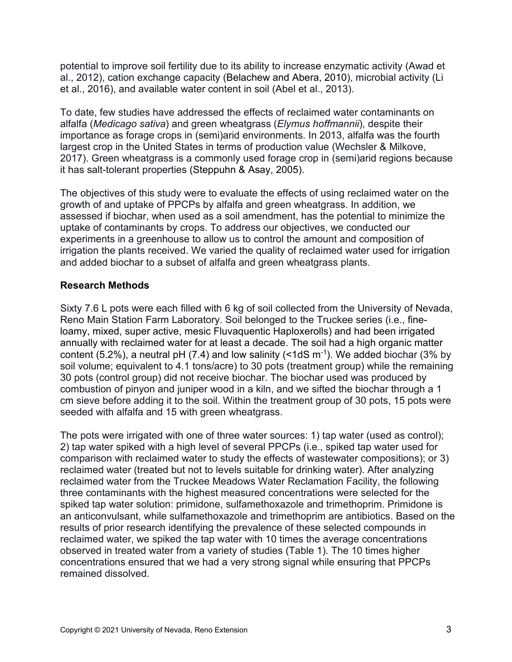potential to improve soil fertility due to its ability to increase enzymatic activity (Awad et al., 2012), cation exchange capacity (Belachew and Abera, 2010), microbial activity (Li et al., 2016), and available water content in soil (Abel et al., 2013).

 To date, few studies have addressed the effects of reclaimed water contaminants on alfalfa (*Medicago sativa*) and green wheatgrass (*Elymus hoffmannii*), despite their importance as forage crops in (semi)arid environments. In 2013, alfalfa was the fourth largest crop in the United States in terms of production value (Wechsler & Milkove, 2017). Green wheatgrass is a commonly used forage crop in (semi)arid regions because it has salt-tolerant properties (Steppuhn & Asay, 2005).

 growth of and uptake of PPCPs by alfalfa and green wheatgrass. In addition, we irrigation the plants received. We varied the quality of reclaimed water used for irrigation The objectives of this study were to evaluate the effects of using reclaimed water on the assessed if biochar, when used as a soil amendment, has the potential to minimize the uptake of contaminants by crops. To address our objectives, we conducted our experiments in a greenhouse to allow us to control the amount and composition of and added biochar to a subset of alfalfa and green wheatgrass plants.

## **Research Methods**

 annually with reclaimed water for at least a decade. The soil had a high organic matter Sixty 7.6 L pots were each filled with 6 kg of soil collected from the University of Nevada, Reno Main Station Farm Laboratory. Soil belonged to the Truckee series (i.e., fineloamy, mixed, super active, mesic Fluvaquentic Haploxerolls) and had been irrigated content (5.2%), a neutral pH (7.4) and low salinity ( $\leq$ 1dS m<sup>-1</sup>). We added biochar (3% by soil volume; equivalent to 4.1 tons/acre) to 30 pots (treatment group) while the remaining 30 pots (control group) did not receive biochar. The biochar used was produced by combustion of pinyon and juniper wood in a kiln, and we sifted the biochar through a 1 cm sieve before adding it to the soil. Within the treatment group of 30 pots, 15 pots were seeded with alfalfa and 15 with green wheatgrass.

 comparison with reclaimed water to study the effects of wastewater compositions); or 3) reclaimed water (treated but not to levels suitable for drinking water). After analyzing an anticonvulsant, while sulfamethoxazole and trimethoprim are antibiotics. Based on the The pots were irrigated with one of three water sources: 1) tap water (used as control); 2) tap water spiked with a high level of several PPCPs (i.e., spiked tap water used for reclaimed water from the Truckee Meadows Water Reclamation Facility, the following three contaminants with the highest measured concentrations were selected for the spiked tap water solution: primidone, sulfamethoxazole and trimethoprim. Primidone is results of prior research identifying the prevalence of these selected compounds in reclaimed water, we spiked the tap water with 10 times the average concentrations observed in treated water from a variety of studies (Table 1). The 10 times higher concentrations ensured that we had a very strong signal while ensuring that PPCPs remained dissolved.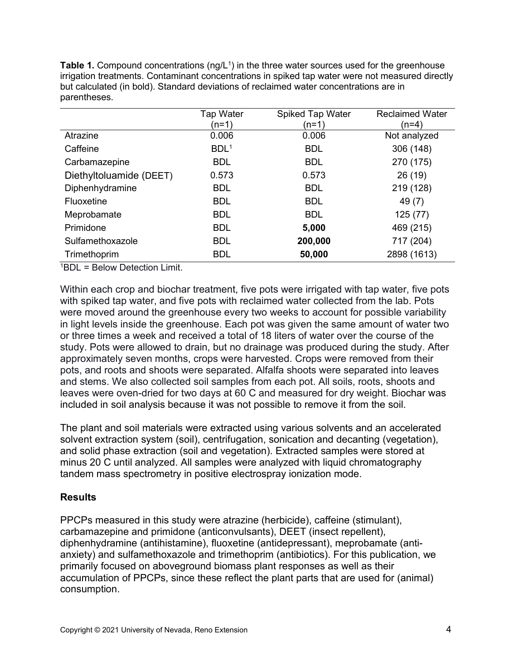**Table 1.** Compound concentrations (ng/L<sup>1</sup>) in the three water sources used for the greenhouse irrigation treatments. Contaminant concentrations in spiked tap water were not measured directly but calculated (in bold). Standard deviations of reclaimed water concentrations are in parentheses.

|                                                                                                                                                                                                                                                                                                                                                                                                      | <b>Tap Water</b> | <b>Spiked Tap Water</b> | <b>Reclaimed Water</b> |
|------------------------------------------------------------------------------------------------------------------------------------------------------------------------------------------------------------------------------------------------------------------------------------------------------------------------------------------------------------------------------------------------------|------------------|-------------------------|------------------------|
|                                                                                                                                                                                                                                                                                                                                                                                                      | (n=1)            | (n=1)                   | (n=4)                  |
| Atrazine                                                                                                                                                                                                                                                                                                                                                                                             | 0.006            | 0.006                   | Not analyzed           |
| Caffeine                                                                                                                                                                                                                                                                                                                                                                                             | BDL <sup>1</sup> | <b>BDL</b>              | 306 (148)              |
| Carbamazepine                                                                                                                                                                                                                                                                                                                                                                                        | <b>BDL</b>       | <b>BDL</b>              | 270 (175)              |
| Diethyltoluamide (DEET)                                                                                                                                                                                                                                                                                                                                                                              | 0.573            | 0.573                   | 26 (19)                |
| Diphenhydramine                                                                                                                                                                                                                                                                                                                                                                                      | <b>BDL</b>       | <b>BDL</b>              | 219 (128)              |
| Fluoxetine                                                                                                                                                                                                                                                                                                                                                                                           | <b>BDL</b>       | <b>BDL</b>              | 49 (7)                 |
| Meprobamate                                                                                                                                                                                                                                                                                                                                                                                          | <b>BDL</b>       | <b>BDL</b>              | 125(77)                |
| Primidone                                                                                                                                                                                                                                                                                                                                                                                            | <b>BDL</b>       | 5,000                   | 469 (215)              |
| Sulfamethoxazole                                                                                                                                                                                                                                                                                                                                                                                     | <b>BDL</b>       | 200,000                 | 717 (204)              |
| Trimethoprim<br>$\overline{1}$ $\overline{1}$ $\overline{1}$ $\overline{1}$ $\overline{1}$ $\overline{1}$ $\overline{1}$ $\overline{1}$ $\overline{1}$ $\overline{1}$ $\overline{1}$ $\overline{1}$ $\overline{1}$ $\overline{1}$ $\overline{1}$ $\overline{1}$ $\overline{1}$ $\overline{1}$ $\overline{1}$ $\overline{1}$ $\overline{1}$ $\overline{1}$ $\overline{1}$ $\overline{1}$ $\overline{$ | <b>BDL</b>       | 50,000                  | 2898 (1613)            |

1 BDL = Below Detection Limit.

 Within each crop and biochar treatment, five pots were irrigated with tap water, five pots or three times a week and received a total of 18 liters of water over the course of the with spiked tap water, and five pots with reclaimed water collected from the lab. Pots were moved around the greenhouse every two weeks to account for possible variability in light levels inside the greenhouse. Each pot was given the same amount of water two study. Pots were allowed to drain, but no drainage was produced during the study. After approximately seven months, crops were harvested. Crops were removed from their pots, and roots and shoots were separated. Alfalfa shoots were separated into leaves and stems. We also collected soil samples from each pot. All soils, roots, shoots and leaves were oven-dried for two days at 60 C and measured for dry weight. Biochar was included in soil analysis because it was not possible to remove it from the soil.

 The plant and soil materials were extracted using various solvents and an accelerated solvent extraction system (soil), centrifugation, sonication and decanting (vegetation), minus 20 C until analyzed. All samples were analyzed with liquid chromatography tandem mass spectrometry in positive electrospray ionization mode. and solid phase extraction (soil and vegetation). Extracted samples were stored at

## **Results**

PPCPs measured in this study were atrazine (herbicide), caffeine (stimulant), carbamazepine and primidone (anticonvulsants), DEET (insect repellent), diphenhydramine (antihistamine), fluoxetine (antidepressant), meprobamate (antianxiety) and sulfamethoxazole and trimethoprim (antibiotics). For this publication, we primarily focused on aboveground biomass plant responses as well as their accumulation of PPCPs, since these reflect the plant parts that are used for (animal) consumption.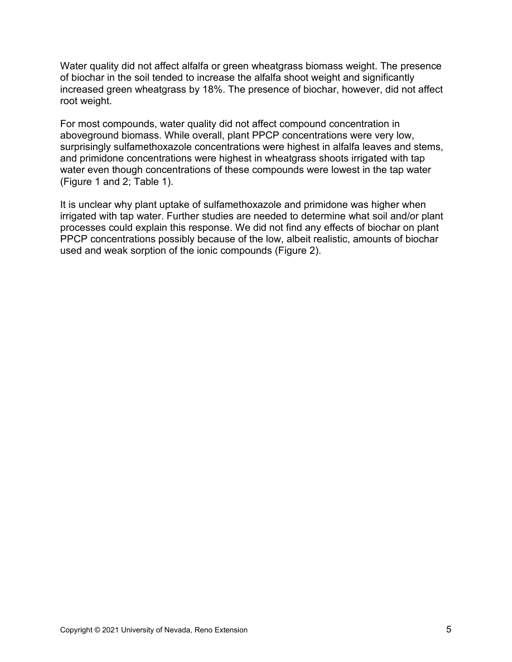Water quality did not affect alfalfa or green wheatgrass biomass weight. The presence of biochar in the soil tended to increase the alfalfa shoot weight and significantly increased green wheatgrass by 18%. The presence of biochar, however, did not affect root weight.

 aboveground biomass. While overall, plant PPCP concentrations were very low, water even though concentrations of these compounds were lowest in the tap water For most compounds, water quality did not affect compound concentration in surprisingly sulfamethoxazole concentrations were highest in alfalfa leaves and stems, and primidone concentrations were highest in wheatgrass shoots irrigated with tap (Figure 1 and 2; Table 1).

 It is unclear why plant uptake of sulfamethoxazole and primidone was higher when PPCP concentrations possibly because of the low, albeit realistic, amounts of biochar irrigated with tap water. Further studies are needed to determine what soil and/or plant processes could explain this response. We did not find any effects of biochar on plant used and weak sorption of the ionic compounds (Figure 2).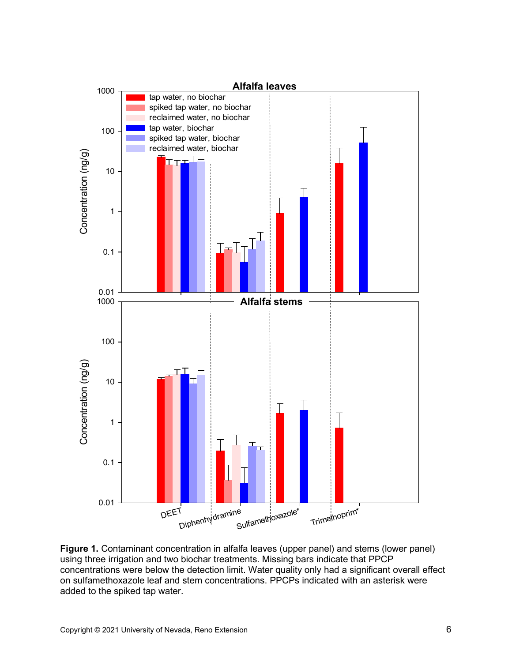

 on sulfamethoxazole leaf and stem concentrations. PPCPs indicated with an asterisk were **Figure 1.** Contaminant concentration in alfalfa leaves (upper panel) and stems (lower panel) using three irrigation and two biochar treatments. Missing bars indicate that PPCP concentrations were below the detection limit. Water quality only had a significant overall effect added to the spiked tap water.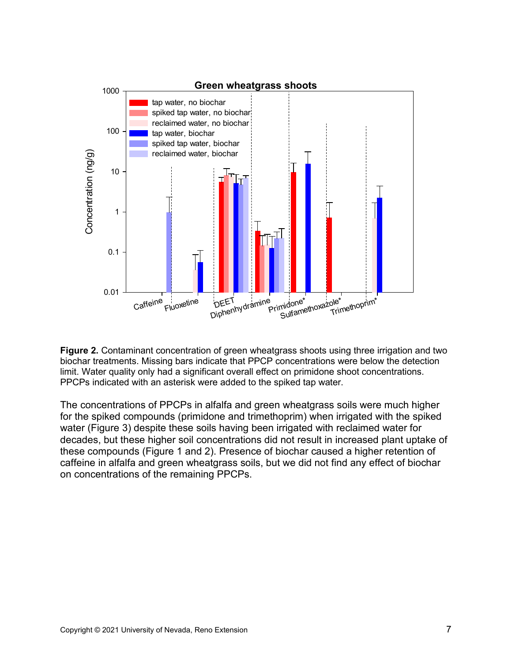

**Figure 2.** Contaminant concentration of green wheatgrass shoots using three irrigation and two biochar treatments. Missing bars indicate that PPCP concentrations were below the detection limit. Water quality only had a significant overall effect on primidone shoot concentrations. PPCPs indicated with an asterisk were added to the spiked tap water.

 water (Figure 3) despite these soils having been irrigated with reclaimed water for decades, but these higher soil concentrations did not result in increased plant uptake of The concentrations of PPCPs in alfalfa and green wheatgrass soils were much higher for the spiked compounds (primidone and trimethoprim) when irrigated with the spiked these compounds (Figure 1 and 2). Presence of biochar caused a higher retention of caffeine in alfalfa and green wheatgrass soils, but we did not find any effect of biochar on concentrations of the remaining PPCPs.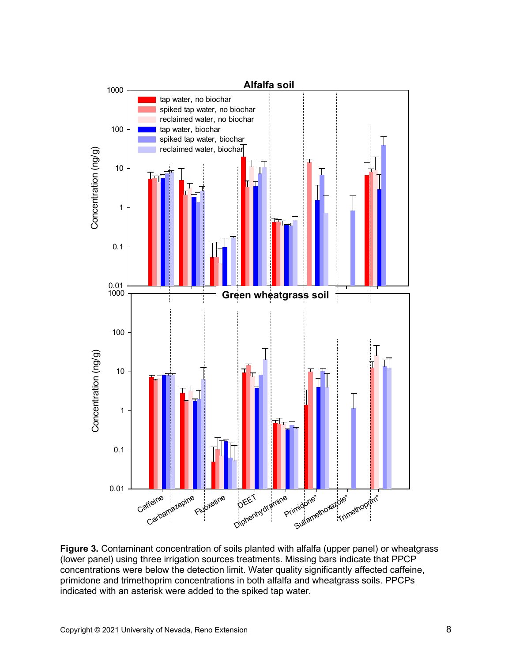

**Figure 3.** Contaminant concentration of soils planted with alfalfa (upper panel) or wheatgrass (lower panel) using three irrigation sources treatments. Missing bars indicate that PPCP concentrations were below the detection limit. Water quality significantly affected caffeine, primidone and trimethoprim concentrations in both alfalfa and wheatgrass soils. PPCPs indicated with an asterisk were added to the spiked tap water.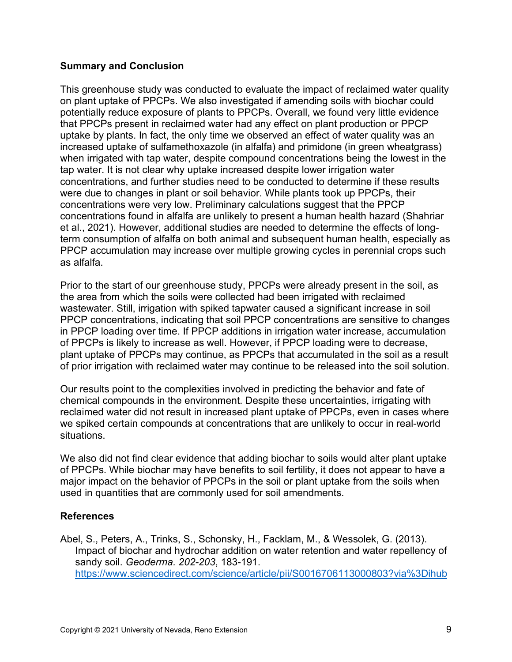#### **Summary and Conclusion**

 that PPCPs present in reclaimed water had any effect on plant production or PPCP concentrations found in alfalfa are unlikely to present a human health hazard (Shahriar as alfalfa. This greenhouse study was conducted to evaluate the impact of reclaimed water quality on plant uptake of PPCPs. We also investigated if amending soils with biochar could potentially reduce exposure of plants to PPCPs. Overall, we found very little evidence uptake by plants. In fact, the only time we observed an effect of water quality was an increased uptake of sulfamethoxazole (in alfalfa) and primidone (in green wheatgrass) when irrigated with tap water, despite compound concentrations being the lowest in the tap water. It is not clear why uptake increased despite lower irrigation water concentrations, and further studies need to be conducted to determine if these results were due to changes in plant or soil behavior. While plants took up PPCPs, their concentrations were very low. Preliminary calculations suggest that the PPCP et al., 2021). However, additional studies are needed to determine the effects of longterm consumption of alfalfa on both animal and subsequent human health, especially as PPCP accumulation may increase over multiple growing cycles in perennial crops such

 plant uptake of PPCPs may continue, as PPCPs that accumulated in the soil as a result of prior irrigation with reclaimed water may continue to be released into the soil solution. Prior to the start of our greenhouse study, PPCPs were already present in the soil, as the area from which the soils were collected had been irrigated with reclaimed wastewater. Still, irrigation with spiked tapwater caused a significant increase in soil PPCP concentrations, indicating that soil PPCP concentrations are sensitive to changes in PPCP loading over time. If PPCP additions in irrigation water increase, accumulation of PPCPs is likely to increase as well. However, if PPCP loading were to decrease,

Our results point to the complexities involved in predicting the behavior and fate of chemical compounds in the environment. Despite these uncertainties, irrigating with reclaimed water did not result in increased plant uptake of PPCPs, even in cases where we spiked certain compounds at concentrations that are unlikely to occur in real-world situations.

We also did not find clear evidence that adding biochar to soils would alter plant uptake of PPCPs. While biochar may have benefits to soil fertility, it does not appear to have a major impact on the behavior of PPCPs in the soil or plant uptake from the soils when used in quantities that are commonly used for soil amendments.

## **References**

 Abel, S., Peters, A., Trinks, S., Schonsky, H., Facklam, M., & Wessolek, G. (2013). Impact of biochar and hydrochar addition on water retention and water repellency of sandy soil. *Geoderma. 202-203*, 183-191. [https://www.sciencedirect.com/science/article/pii/S0016706113000803?via%3Dihub](https://doi.org/10.1016/j.geoderma.2013.03.003)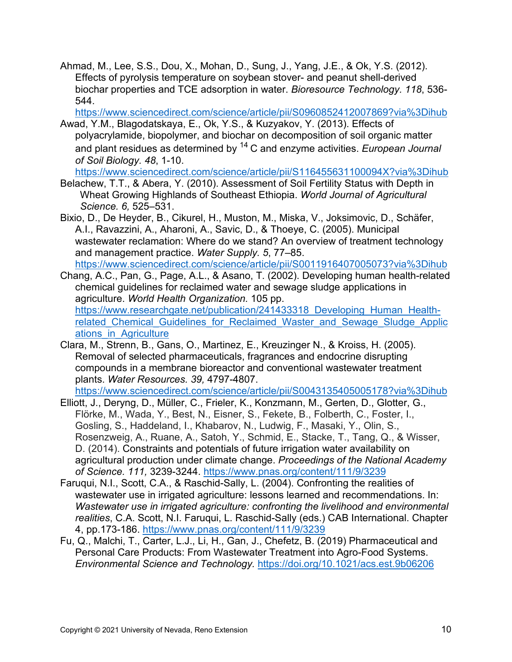biochar properties and TCE adsorption in water. *Bioresource Technology. 118*, 536- Ahmad, M., Lee, S.S., Dou, X., Mohan, D., Sung, J., Yang, J.E., & Ok, Y.S. (2012). Effects of pyrolysis temperature on soybean stover- and peanut shell-derived 544.

[https://www.sciencedirect.com/science/article/pii/S0960852412007869?via%3Dihub](https://doi.org/10.1016/j.biortech.2012.05.042) 

 polyacrylamide, biopolymer, and biochar on decomposition of soil organic matter *of Soil Biology. 48*, 1-10. Awad, Y.M., Blagodatskaya, E., Ok, Y.S., & Kuzyakov, Y. (2013). Effects of and plant residues as determined by 14 C and enzyme activities. *European Journal* 

https://www.sciencedirect.com/science/article/pii/S116455631100094X?via%3Dihub

- *Science. 6,* 525–531. Belachew, T.T., & Abera, Y. (2010). Assessment of Soil Fertility Status with Depth in Wheat Growing Highlands of Southeast Ethiopia. *World Journal of Agricultural*
- and management practice. *Water Supply. 5*, 77–85. https://www.sciencedirect.com/science/article/pii/S0011916407005073?via%3Dihub Bixio, D., De Heyder, B., Cikurel, H., Muston, M., Miska, V., Joksimovic, D., Schäfer, A.I., Ravazzini, A., Aharoni, A., Savic, D., & Thoeye, C. (2005). Municipal wastewater reclamation: Where do we stand? An overview of treatment technology
- agriculture. *World Health Organization.* 105 pp. Chang, A.C., Pan, G., Page, A.L., & Asano, T. (2002). Developing human health-related chemical guidelines for reclaimed water and sewage sludge applications in https://www.researchgate.net/publication/241433318 Developing Human Healthrelated Chemical Guidelines for Reclaimed Waster and Sewage Sludge Applic ations in Agriculture
- compounds in a membrane bioreactor and conventional wastewater treatment Clara, M., Strenn, B., Gans, O., Martinez, E., Kreuzinger N., & Kroiss, H. (2005). Removal of selected pharmaceuticals, fragrances and endocrine disrupting plants. *Water Resources. 39,* 4797-4807.

[https://www.sciencedirect.com/science/article/pii/S0043135405005178?via%3Dihub](https://doi.org/10.1016/j.watres.2005.09.015) 

- Rosenzweig, A., Ruane, A., Satoh, Y., Schmid, E., Stacke, T., Tang, Q., & Wisser, Elliott, J., Deryng, D., Müller, C., Frieler, K., Konzmann, M., Gerten, D., Glotter, G., Flörke, M., Wada, Y., Best, N., Eisner, S., Fekete, B., Folberth, C., Foster, I., Gosling, S., Haddeland, I., Khabarov, N., Ludwig, F., Masaki, Y., Olin, S., D. (2014). Constraints and potentials of future irrigation water availability on agricultural production under climate change. *Proceedings of the National Academy of Science. 111,* 3239-3244. [https://www.pnas.org/content/111/9/3239](https://doi.org/10.1073/pnas.1222474110)
- Faruqui, N.I., Scott, C.A., & Raschid-Sally, L. (2004). Confronting the realities of Wastewater use in irrigated agriculture: confronting the livelihood and environmental 4. pp.173-186. https://www.pnas.org/content/111/9/3239 wastewater use in irrigated agriculture: lessons learned and recommendations. In: *realities*, C.A. Scott, N.I. Faruqui, L. Raschid-Sally (eds.) CAB International. Chapter
- 4, pp.173-186. <u>https://www.pnas.org/content/111/9/3239</u><br>Fu, Q., Malchi, T., Carter, L.J., Li, H., Gan, J., Chefetz, B. (2019) Pharmaceutical and *Environmental Science and Technology.* <https://doi.org/10.1021/acs.est.9b06206> Personal Care Products: From Wastewater Treatment into Agro-Food Systems.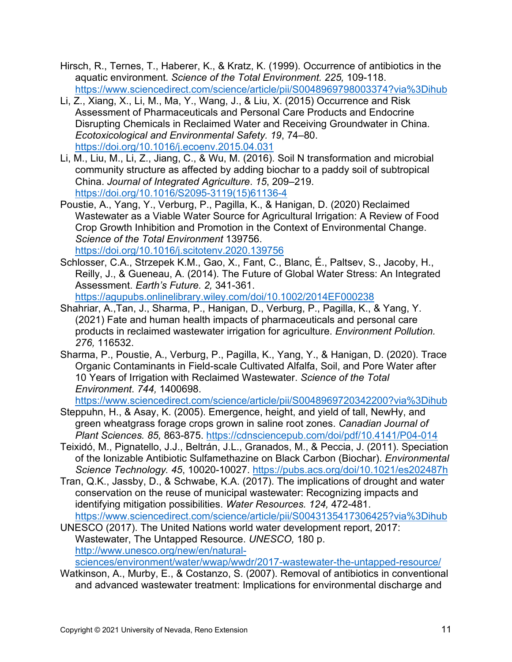- aquatic environment. *Science of the Total Environment. 225,* 109-118. https://www.sciencedirect.com/science/article/pii/S0048969798003374?via%3Dihub Hirsch, R., Ternes, T., Haberer, K., & Kratz, K. (1999). Occurrence of antibiotics in the
- <https://www.sciencedirect.com/science/article/pii/S0048969798003374?via%3Dihub>Li, Z., Xiang, X., Li, M., Ma, Y., Wang, J., & Liu, X. (2015) Occurrence and Risk https://doi.org/10.1016/j.ecoenv.2015.04.031 Assessment of Pharmaceuticals and Personal Care Products and Endocrine Disrupting Chemicals in Reclaimed Water and Receiving Groundwater in China. *Ecotoxicological and Environmental Safety. 19*, 74–80.
- https://doi.org/10.1016/S2095-3119(15)61136-4 Li, M., Liu, M., Li, Z., Jiang, C., & Wu, M. (2016). Soil N transformation and microbial community structure as affected by adding biochar to a paddy soil of subtropical China. *Journal of Integrated Agriculture*. *15*, 209–219.
- <https://doi.org/10.1016/j.scitotenv.2020.139756> Poustie, A., Yang, Y., Verburg, P., Pagilla, K., & Hanigan, D. (2020) Reclaimed Wastewater as a Viable Water Source for Agricultural Irrigation: A Review of Food Crop Growth Inhibition and Promotion in the Context of Environmental Change. *Science of the Total Environment* 139756.
- Assessment. *Earth's Future. 2,* 341-361. Schlosser, C.A., Strzepek K.M., Gao, X., Fant, C., Blanc, É., Paltsev, S., Jacoby, H., Reilly, J., & Gueneau, A. (2014). The Future of Global Water Stress: An Integrated [https://agupubs.onlinelibrary.wiley.com/doi/10.1002/2014EF000238](https://doi.org/10.1002/2014EF000238)
- Shahriar, A.,Tan, J., Sharma, P., Hanigan, D., Verburg, P., Pagilla, K., & Yang, Y. (2021) Fate and human health impacts of pharmaceuticals and personal care products in reclaimed wastewater irrigation for agriculture. *Environment Pollution. 276,* 116532.
- Sharma, P., Poustie, A., Verburg, P., Pagilla, K., Yang, Y., & Hanigan, D. (2020). Trace Organic Contaminants in Field-scale Cultivated Alfalfa, Soil, and Pore Water after 10 Years of Irrigation with Reclaimed Wastewater. *Science of the Total Environment*. *744,* 1400698.

<https://www.sciencedirect.com/science/article/pii/S0048969720342200?via%3Dihub>

- Steppuhn, H., & Asay, K. (2005). Emergence, height, and yield of tall, NewHy, and *Plant Sciences. 85,* 863-875.<https://cdnsciencepub.com/doi/pdf/10.4141/P04-014> green wheatgrass forage crops grown in saline root zones. *Canadian Journal of*
- Science Technology, 45, 10020-10027, https://pubs.acs.org/doi/10.1021/es202487h Teixidó, M., Pignatello, J.J., Beltrán, J.L., Granados, M., & Peccia, J. (2011). Speciation of the Ionizable Antibiotic Sulfamethazine on Black Carbon (Biochar). *Environmental*
- *Science Technology. 45*, 10020-10027.<https://pubs.acs.org/doi/10.1021/es202487h>Tran, Q.K., Jassby, D., & Schwabe, K.A. (2017). The implications of drought and water identifying mitigation possibilities. *Water Resources. 124,* 472-481. https://www.sciencedirect.com/science/article/pii/S0043135417306425?via%3Dihub conservation on the reuse of municipal wastewater: Recognizing impacts and

 Wastewater, The Untapped Resource. *UNESCO,* 180 p. sciences/environment/water/wwap/wwdr/2017-wastewater-the-untapped-resource/ UNESCO (2017). The United Nations world water development report, 2017: [http://www.unesco.org/new/en/natural-](http://www.unesco.org/new/en/natural-sciences/environment/water/wwap/wwdr/2017-wastewater-the-untapped-resource/)

 [sciences/environment/water/wwap/wwdr/2017-wastewater-the-untapped-resource/](http://www.unesco.org/new/en/natural-sciences/environment/water/wwap/wwdr/2017-wastewater-the-untapped-resource/) Watkinson, A., Murby, E., & Costanzo, S. (2007). Removal of antibiotics in conventional and advanced wastewater treatment: Implications for environmental discharge and